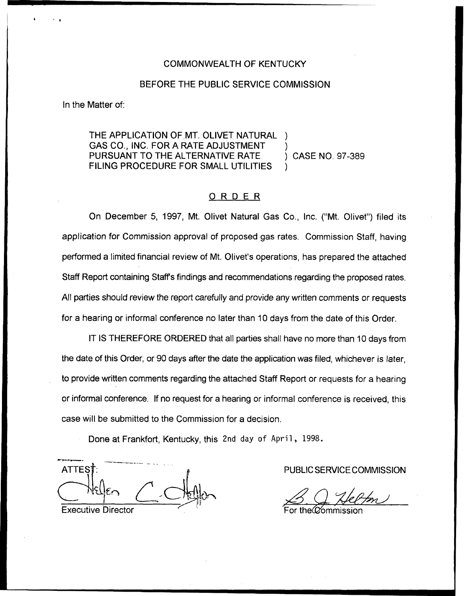### COMMONWEALTH OF KENTUCKY

### BEFORE THE PUBLIC SERVICE COMMISSION

In the Matter of:

THE APPLICATION OF MT. OLIVET NATURAL GAS CO., INC. FOR A RATE ADJUSTMENT )<br>PURSUANT TO THE ALTERNATIVE RATE ) CASE NO. 97-389 PURSUANT TO THE ALTERNATIVE RATE FILING PROCEDURE FOR SMALL UTILITIES

# ORDER

On December 5, 1997, Mt. Olivet Natural Gas Co., Inc. ("Mt. Olivet") filed its application for Commission approval of proposed gas rates. Commission Staff, having performed a limited financial review of Mt. Olivet's operations, has prepared the attached Staff Report containing Staff's findings and recommendations regarding the proposed rates. All parties should review the report carefully and provide any written comments or requests for a hearing or informal conference no later than 10 days from the date of this Order.

IT IS THEREFORE ORDERED that all parties shall have no more than 10 days from the date of this Order, or 90 days after the date the application was filed, whichever is later, to provide written comments regarding the attached Staff Report or requests for a hearing or informal conference. If no request for a hearing or informal conference is received, this case will be submitted to the Commission for a decision.

Done at Frankfort, Kentucky, this 2nd day of April, 1998.

4 **ATTES** Executive Director

PUBLIC SERVICE COMMISSION

<u>M</u><br>For the Commission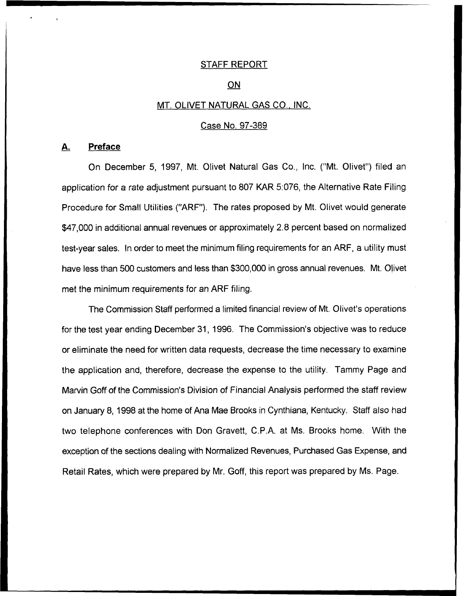## STAFF REPORT

#### ON

### MT. OLIVET NATURAL GAS CO., INC.

#### Case No. 97-389

# A. Preface

On December 5, 1997, Mt. Olivet Natural Gas Co., Inc. ("Mt. Olivet") filed an application for a rate adjustment pursuant to 807 KAR 5:076, the Alternative Rate Filing Procedure for Small Utilities ("ARF"), The rates proposed by Mt. Olivet would generate \$47,000 in additional annual revenues or approximately 2.8 percent based on normalized test-year sales. In order to meet the minimum filing requirements for an ARF, a utility must have less than 500 customers and less than \$300,000 in gross annual revenues. Mt. Olivet met the minimum requirements for an ARF filing.

The Commission Staff performed a limited financial review of Mt. Olivet's operations for the test year ending December 31, 1996. The Commission's objective was to reduce or eliminate the need for written data requests, decrease the time necessary to examine the application and, therefore, decrease the expense to the utility. Tammy Page and Marvin Goff of the Commission's Division of Financial Analysis performed the staff review on January 8, 1998 at the home of Ana Mae Brooks in Cynthiana, Kentucky. Staff also had two telephone conferences with Don Gravett, C.P.A. at Ms. Brooks home. With the exception of the sections dealing with Normalized Revenues, Purchased Gas Expense, and Retail Rates, which were prepared by Mr. Goff, this report was prepared by Ms. Page.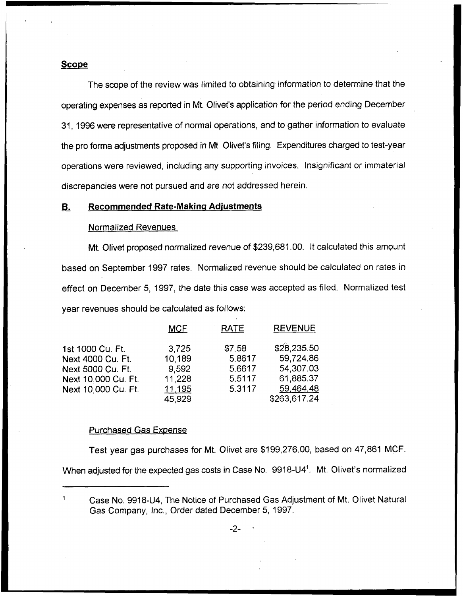### **Scope**

The scope of the review was limited to obtaining information to determine that the operating expenses as reported in Mt. Olivet's application for the period ending December 31, 1996were representative of normal operations, and to gather information to evaluate the pro forma adjustments proposed in Mt. Olivet's filing. Expenditures charged to test-year operations were reviewed, including any supporting invoices. Insignificant or immaterial discrepancies were not pursued and are not addressed herein.

### **B.** Recommended Rate-Making Adjustments

#### Normalized Revenues

Mt. Olivet proposed normalized revenue of \$239,681.00. It calculated this amount based on September 1997 rates. Normalized revenue should be calculated on rates in effect on December 5, 1997, the date this case was accepted as filed. Normalized test year revenues should be calculated as follows:

|                                            | <b>MCF</b>       | <b>RATE</b>      | <b>REVENUE</b>           |
|--------------------------------------------|------------------|------------------|--------------------------|
| 1st 1000 Cu. Ft.<br>Next 4000 Cu. Ft.      | 3,725<br>10,189  | \$7.58<br>5.8617 | \$28,235.50<br>59,724.86 |
| Next 5000 Cu. Ft.                          | 9,592            | 5.6617           | 54,307.03                |
| Next 10,000 Cu. Ft.<br>Next 10,000 Cu. Ft. | 11,228<br>11,195 | 5.5117<br>5.3117 | 61,885.37<br>59,464.48   |
|                                            | 45,929           |                  | \$263,617.24             |

#### **Purchased Gas Expense**

Test year gas purchases for Mt. Olivet are \$199,276.00, based on 47,861 MCF.

When adjusted for the expected gas costs in Case No. 9918-U4". Mt. Olivet's normalized

 $\mathbf{1}$ Case No. 9918-U4, The Notice of Purchased Gas Adjustment of Mt. Olivet Natural Gas Company, Inc., Order dated December 5, 1997.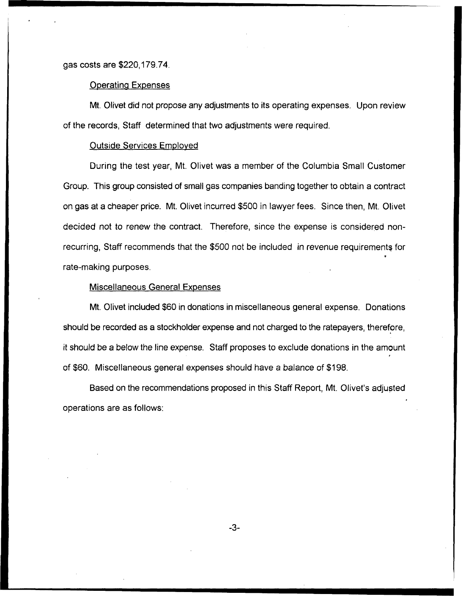# gas costs are \$220,179.?4.

# Operatina Expenses

Mt. Olivet did not propose any adjustments to its operating expenses. Upon review of the records, Staff determined that two adjustments were required.

### Outside Services Emploved

During the test year, Mt. Olivet was a member of the Columbia Small Customer Group. This group consisted of small gas companies banding together to obtain a contract on gas at a cheaper price. Mt. Olivet incurred \$500 in lawyer fees. Since then, Mt. Olivet decided not to renew the contract. Therefore, since the expense is considered nonrecurring, Staff recommends that the \$500 not be included in revenue requirements for rate-making purposes.

### Miscellaneous General Exoenses

Mt. Olivet included \$60 in donations in miscellaneous general expense. Donations should be recorded as a stockholder expense and not charged to the ratepayers, therefore, it should be a below the line expense. Staff proposes to exclude donations in the amount of \$60. Miscellaneous general expenses should have a balance of \$198.

Based on the recommendations proposed in this Staff Report, Mt. Olivet's adjusted operations are as follows:

 $-3-$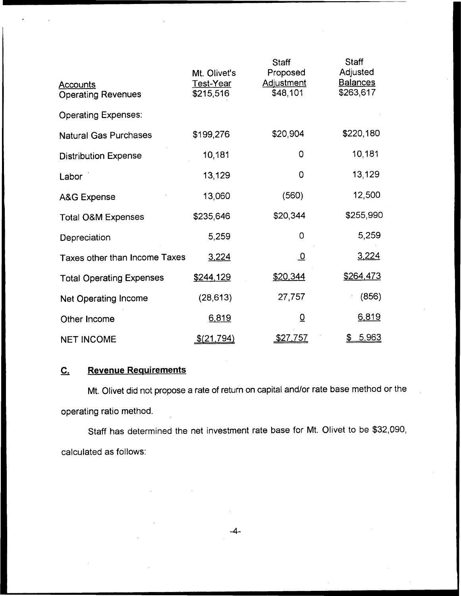| <b>Accounts</b><br><b>Operating Revenues</b> | Mt. Olivet's<br>Test-Year<br>\$215,516 | <b>Staff</b><br>Proposed<br><b>Adjustment</b><br>\$48,101 | <b>Staff</b><br>Adjusted<br><b>Balances</b><br>\$263,617 |
|----------------------------------------------|----------------------------------------|-----------------------------------------------------------|----------------------------------------------------------|
| <b>Operating Expenses:</b>                   |                                        |                                                           |                                                          |
| <b>Natural Gas Purchases</b>                 | \$199,276                              | \$20,904                                                  | \$220,180                                                |
| <b>Distribution Expense</b>                  | 10,181                                 | 0                                                         | 10,181                                                   |
| Labor                                        | 13,129                                 | 0                                                         | 13,129                                                   |
| <b>A&amp;G Expense</b>                       | 13,060                                 | (560)                                                     | 12,500                                                   |
| <b>Total O&amp;M Expenses</b>                | \$235,646                              | \$20,344                                                  | \$255,990                                                |
| Depreciation                                 | 5,259                                  | 0                                                         | 5,259                                                    |
| Taxes other than Income Taxes                | 3,224                                  | <u>_0</u>                                                 | 3,224                                                    |
| <b>Total Operating Expenses</b>              | \$244,129                              | \$20,344                                                  | \$264,473                                                |
| Net Operating Income                         | (28, 613)                              | 27,757                                                    | (856)                                                    |
| Other Income                                 | 6,819                                  | $\overline{0}$                                            | 6,819                                                    |
| <b>NET INCOME</b>                            | \$(21,794)                             | <u>\$27,757</u>                                           | 5,963                                                    |

# C. Revenue Requirements

Mt. Olivet did not propose a rate of return on capital and/or rate base method or the operating ratio method.

Staff has determined the net investment rate base for Mt. Olivet to be \$32,090, calculated as follows:

 $-4-$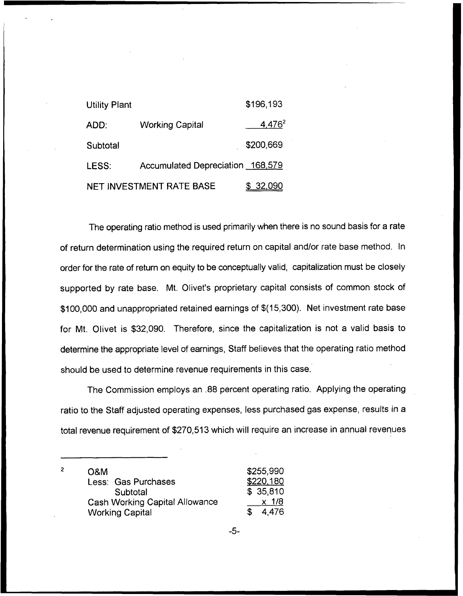| <b>Utility Plant</b> |                                  | \$196,193          |
|----------------------|----------------------------------|--------------------|
| ADD:                 | <b>Working Capital</b>           | 4,476 <sup>2</sup> |
| Subtotal             |                                  | \$200,669          |
| LESS:                | Accumulated Depreciation 168,579 |                    |
|                      | NET INVESTMENT RATE BASE         | <u>\$32,090</u>    |

The operating ratio method is used primarily when there is no sound basis for a rate of return determination using the required return on capital and/or rate base method. In order for the rate of return on equity to be conceptually valid, capitalization must be closely supported by rate base. Mt. Olivet's proprietary capital consists of common stock of \$100,000 and unappropriated retained earnings of \${15,300). Net investment rate base for Mt. Olivet is \$32,090. Therefore, since the capitalization is not a valid basis to determine the appropriate level of earnings, Staff believes that the operating ratio method should be used to determine revenue requirements in this case.

The Commission employs an .88 percent operating ratio. Applying the operating ratio to the Staff adjusted operating expenses, less purchased gas expense, results in a total revenue requirement of \$270,513 which will require an increase in annual revenues

| <b>O&amp;M</b>                        | \$255,990   |
|---------------------------------------|-------------|
| Less: Gas Purchases                   | \$220,180   |
| Subtotal                              | \$35,810    |
| <b>Cash Working Capital Allowance</b> | x 1/8       |
| <b>Working Capital</b>                | 4.476<br>S. |

 $-5-$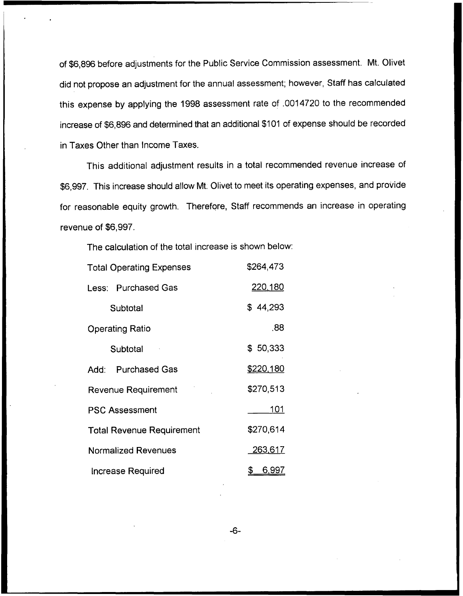of \$6,896 before adjustments for the Public Service Commission assessment. Mt. Olivet did not propose an adjustment for the annual assessment; however, Staff has calculated this expense by applying the 1998 assessment rate of .0014720 to the recommended increase of \$6,896 and determined that an additional \$101 of expense should be recorded in Taxes Other than income Taxes.

This additional adjustment results in a total recommended revenue increase of \$6,997. This increase should allow Mt. Olivet to meet its operating expenses, and provide for reasonable equity growth. Therefore, Staff recommends an increase in operating revenue of \$6,997.

The calculation of the total increase is shown below:

| <b>Total Operating Expenses</b>  | \$264,473          |
|----------------------------------|--------------------|
| <b>Less: Purchased Gas</b>       | 220,180            |
| Subtotal                         | \$44,293           |
| <b>Operating Ratio</b>           | .88                |
| Subtotal                         | \$50,333           |
| <b>Purchased Gas</b><br>Add:     | <u>\$220,180</u>   |
| <b>Revenue Requirement</b>       | \$270,513          |
| <b>PSC Assessment</b>            | 101                |
| <b>Total Revenue Requirement</b> | \$270,614          |
| <b>Normalized Revenues</b>       | 263,617            |
| Increase Required                | \$<br><u>6,997</u> |

-6-